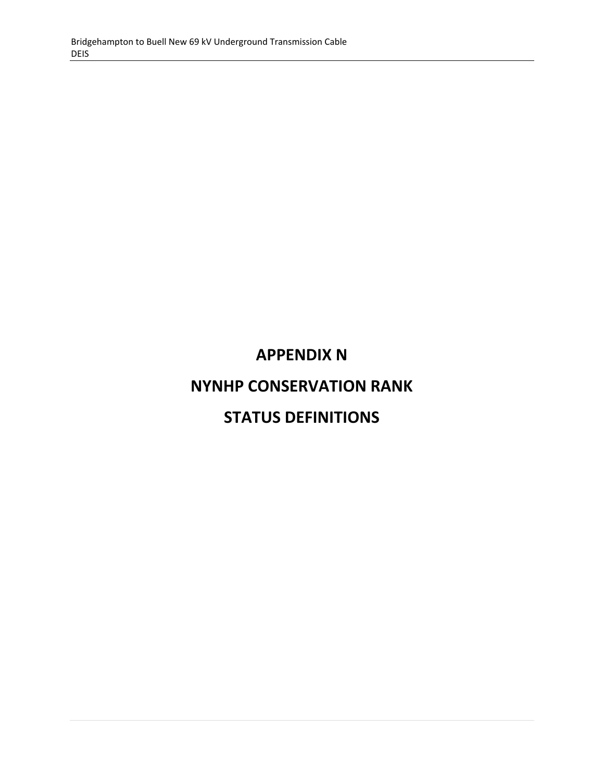# **APPENDIX N**

# **NYNHP CONSERVATION RANK**

# **STATUS DEFINITIONS**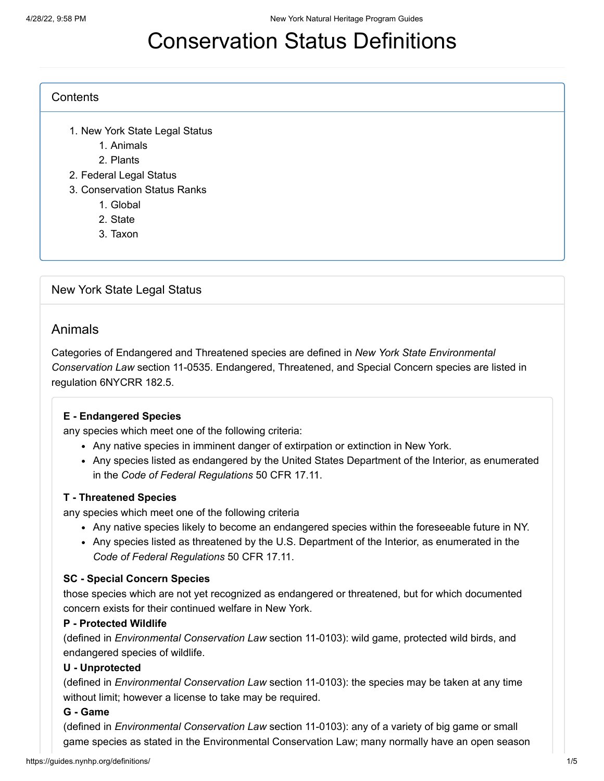# Conservation Status Definitions

## **Contents**

- 1. [New York State Legal Status](#page-1-0)
	- 1. [Animals](#page-1-1)
	- 2. [Plants](#page-2-0)
- 2. [Federal Legal Status](#page-2-1)
- 3. [Conservation Status Ranks](#page-3-0)
	- 1. [Global](#page-3-1)
	- 2. [State](#page-4-0)
	- 3. [Taxon](#page-4-1)

<span id="page-1-0"></span>New York State Legal Status

## <span id="page-1-1"></span>Animals

Categories of Endangered and Threatened species are defined in *New York State Environmental Conservation Law* section 11-0535. Endangered, Threatened, and Special Concern species are listed in regulation 6NYCRR 182.5.

#### **E - Endangered Species**

any species which meet one of the following criteria:

- Any native species in imminent danger of extirpation or extinction in New York.
- Any species listed as endangered by the United States Department of the Interior, as enumerated in the *Code of Federal Regulations* 50 CFR 17.11.

#### **T - Threatened Species**

any species which meet one of the following criteria

- Any native species likely to become an endangered species within the foreseeable future in NY.
- Any species listed as threatened by the U.S. Department of the Interior, as enumerated in the *Code of Federal Regulations* 50 CFR 17.11.

#### **SC - Special Concern Species**

those species which are not yet recognized as endangered or threatened, but for which documented concern exists for their continued welfare in New York.

#### **P - Protected Wildlife**

(defined in *Environmental Conservation Law* section 11-0103): wild game, protected wild birds, and endangered species of wildlife.

#### **U - Unprotected**

(defined in *Environmental Conservation Law* section 11-0103): the species may be taken at any time without limit; however a license to take may be required.

#### **G - Game**

(defined in *Environmental Conservation Law* section 11-0103): any of a variety of big game or small game species as stated in the Environmental Conservation Law; many normally have an open season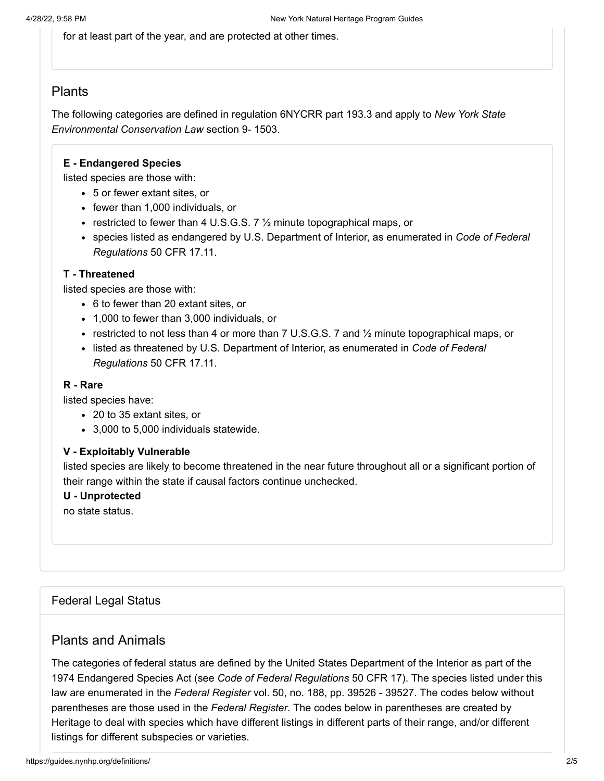for at least part of the year, and are protected at other times.

# <span id="page-2-0"></span>Plants

The following categories are defined in regulation 6NYCRR part 193.3 and apply to *New York State Environmental Conservation Law* section 9- 1503.

#### **E - Endangered Species**

listed species are those with:

- 5 or fewer extant sites, or
- fewer than 1,000 individuals, or
- restricted to fewer than 4 U.S.G.S. 7  $\frac{1}{2}$  minute topographical maps, or
- species listed as endangered by U.S. Department of Interior, as enumerated in *Code of Federal Regulations* 50 CFR 17.11.

#### **T - Threatened**

listed species are those with:

- 6 to fewer than 20 extant sites, or
- 1,000 to fewer than 3,000 individuals, or
- restricted to not less than 4 or more than 7 U.S.G.S. 7 and  $\frac{1}{2}$  minute topographical maps, or
- listed as threatened by U.S. Department of Interior, as enumerated in *Code of Federal Regulations* 50 CFR 17.11.

#### **R - Rare**

listed species have:

- 20 to 35 extant sites, or
- 3,000 to 5,000 individuals statewide.

#### **V - Exploitably Vulnerable**

listed species are likely to become threatened in the near future throughout all or a significant portion of their range within the state if causal factors continue unchecked.

#### **U - Unprotected**

no state status.

#### <span id="page-2-1"></span>Federal Legal Status

## Plants and Animals

The categories of federal status are defined by the United States Department of the Interior as part of the 1974 Endangered Species Act (see *Code of Federal Regulations* 50 CFR 17). The species listed under this law are enumerated in the *Federal Register* vol. 50, no. 188, pp. 39526 - 39527. The codes below without parentheses are those used in the *Federal Register*. The codes below in parentheses are created by Heritage to deal with species which have different listings in different parts of their range, and/or different listings for different subspecies or varieties.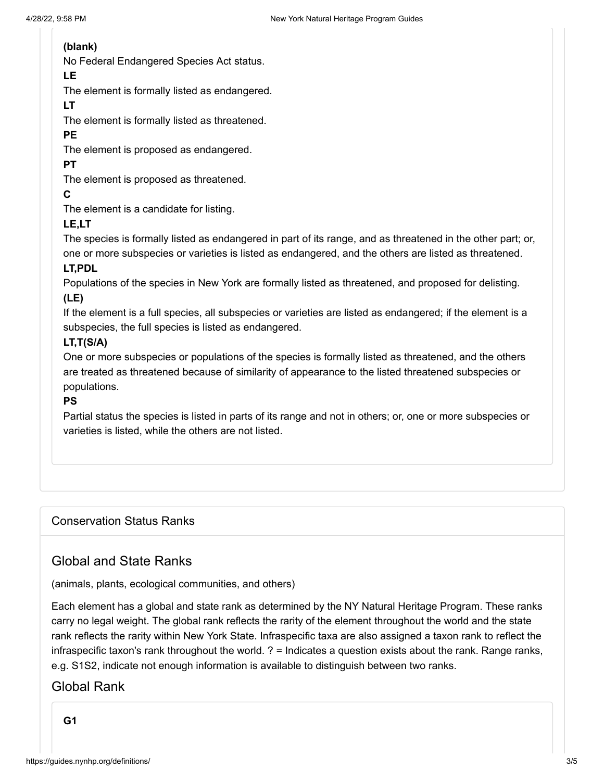#### **(blank)**

No Federal Endangered Species Act status.

#### **LE**

The element is formally listed as endangered.

#### **LT**

The element is formally listed as threatened.

## **PE**

The element is proposed as endangered.

#### **PT**

The element is proposed as threatened.

#### **C**

The element is a candidate for listing.

## **LE,LT**

The species is formally listed as endangered in part of its range, and as threatened in the other part; or, one or more subspecies or varieties is listed as endangered, and the others are listed as threatened.

## **LT,PDL**

Populations of the species in New York are formally listed as threatened, and proposed for delisting. **(LE)**

If the element is a full species, all subspecies or varieties are listed as endangered; if the element is a subspecies, the full species is listed as endangered.

## **LT,T(S/A)**

One or more subspecies or populations of the species is formally listed as threatened, and the others are treated as threatened because of similarity of appearance to the listed threatened subspecies or populations.

#### **PS**

Partial status the species is listed in parts of its range and not in others; or, one or more subspecies or varieties is listed, while the others are not listed.

# <span id="page-3-0"></span>Conservation Status Ranks

# Global and State Ranks

(animals, plants, ecological communities, and others)

Each element has a global and state rank as determined by the NY Natural Heritage Program. These ranks carry no legal weight. The global rank reflects the rarity of the element throughout the world and the state rank reflects the rarity within New York State. Infraspecific taxa are also assigned a taxon rank to reflect the infraspecific taxon's rank throughout the world. ? = Indicates a question exists about the rank. Range ranks, e.g. S1S2, indicate not enough information is available to distinguish between two ranks.

# <span id="page-3-1"></span>Global Rank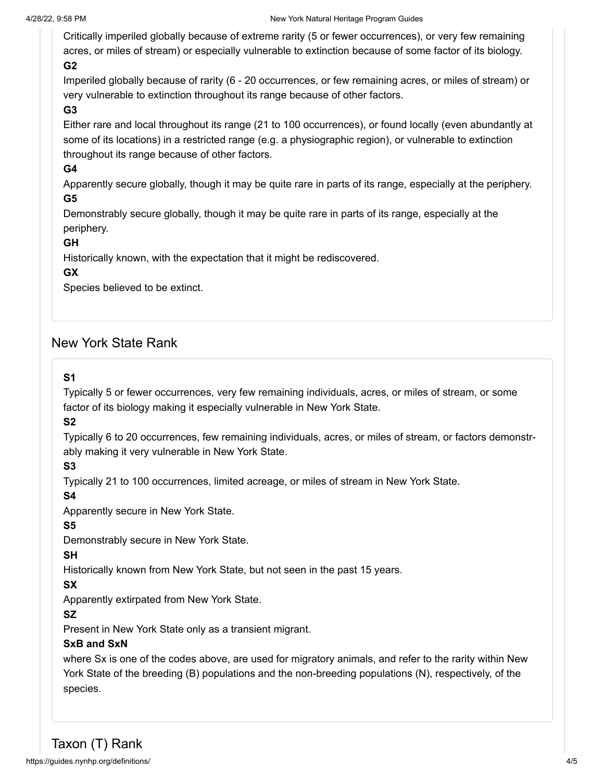Critically imperiled globally because of extreme rarity (5 or fewer occurrences), or very few remaining acres, or miles of stream) or especially vulnerable to extinction because of some factor of its biology. **G2**

Imperiled globally because of rarity (6 - 20 occurrences, or few remaining acres, or miles of stream) or very vulnerable to extinction throughout its range because of other factors.

## **G3**

Either rare and local throughout its range (21 to 100 occurrences), or found locally (even abundantly at some of its locations) in a restricted range (e.g. a physiographic region), or vulnerable to extinction throughout its range because of other factors.

# **G4**

Apparently secure globally, though it may be quite rare in parts of its range, especially at the periphery. **G5**

Demonstrably secure globally, though it may be quite rare in parts of its range, especially at the periphery.

## **GH**

Historically known, with the expectation that it might be rediscovered.

## **GX**

Species believed to be extinct.

# <span id="page-4-0"></span>New York State Rank

## **S1**

Typically 5 or fewer occurrences, very few remaining individuals, acres, or miles of stream, or some factor of its biology making it especially vulnerable in New York State.

#### **S2**

Typically 6 to 20 occurrences, few remaining individuals, acres, or miles of stream, or factors demonstrably making it very vulnerable in New York State.

#### **S3**

Typically 21 to 100 occurrences, limited acreage, or miles of stream in New York State.

**S4**

Apparently secure in New York State.

#### **S5**

Demonstrably secure in New York State.

#### **SH**

Historically known from New York State, but not seen in the past 15 years.

# **SX**

Apparently extirpated from New York State.

#### **SZ**

Present in New York State only as a transient migrant.

#### **SxB and SxN**

<span id="page-4-1"></span>where Sx is one of the codes above, are used for migratory animals, and refer to the rarity within New York State of the breeding (B) populations and the non-breeding populations (N), respectively, of the species.